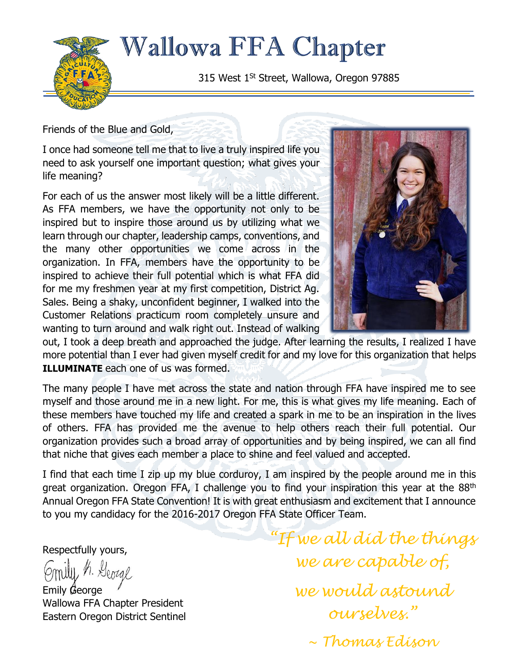

**Wallowa FFA Chapter** 

315 West 1<sup>St</sup> Street, Wallowa, Oregon 97885

Friends of the Blue and Gold,

I once had someone tell me that to live a truly inspired life you need to ask yourself one important question; what gives your life meaning?

For each of us the answer most likely will be a little different. As FFA members, we have the opportunity not only to be inspired but to inspire those around us by utilizing what we learn through our chapter, leadership camps, conventions, and the many other opportunities we come across in the organization. In FFA, members have the opportunity to be inspired to achieve their full potential which is what FFA did for me my freshmen year at my first competition, District Ag. Sales. Being a shaky, unconfident beginner, I walked into the Customer Relations practicum room completely unsure and wanting to turn around and walk right out. Instead of walking



out, I took a deep breath and approached the judge. After learning the results, I realized I have more potential than I ever had given myself credit for and my love for this organization that helps **ILLUMINATE** each one of us was formed.

The many people I have met across the state and nation through FFA have inspired me to see myself and those around me in a new light. For me, this is what gives my life meaning. Each of these members have touched my life and created a spark in me to be an inspiration in the lives of others. FFA has provided me the avenue to help others reach their full potential. Our organization provides such a broad array of opportunities and by being inspired, we can all find that niche that gives each member a place to shine and feel valued and accepted.

I find that each time I zip up my blue corduroy, I am inspired by the people around me in this great organization. Oregon FFA, I challenge you to find your inspiration this year at the 88<sup>th</sup> Annual Oregon FFA State Convention! It is with great enthusiasm and excitement that I announce to you my candidacy for the 2016-2017 Oregon FFA State Officer Team.

Respectfully yours,

Smily, h. George

Emily George Wallowa FFA Chapter President Eastern Oregon District Sentinel

*"If we all did the things we are capable of, we would astound ourselves." ~ Thomas Edison*